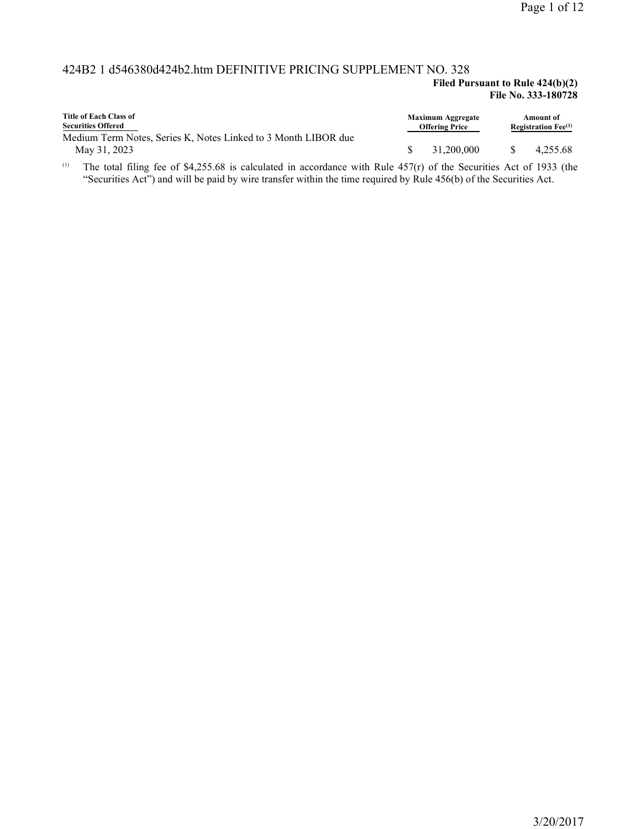### 424B2 1 d546380d424b2.htm DEFINITIVE PRICING SUPPLEMENT NO. 328

#### **Filed Pursuant to Rule 424(b)(2) File No. 333-180728**

| Title of Each Class of<br><b>Securities Offered</b>                            | <b>Maximum Aggregate</b><br><b>Offering Price</b> | Amount of<br><b>Registration Fee</b> $^{(1)}$ |
|--------------------------------------------------------------------------------|---------------------------------------------------|-----------------------------------------------|
| Medium Term Notes, Series K. Notes Linked to 3 Month LIBOR due<br>May 31, 2023 | 31,200,000                                        | 4.255.68                                      |

The total filing fee of \$4,255.68 is calculated in accordance with Rule 457(r) of the Securities Act of 1933 (the "Securities Act") and will be paid by wire transfer within the time required by Rule 456(b) of the Securities Act. (1)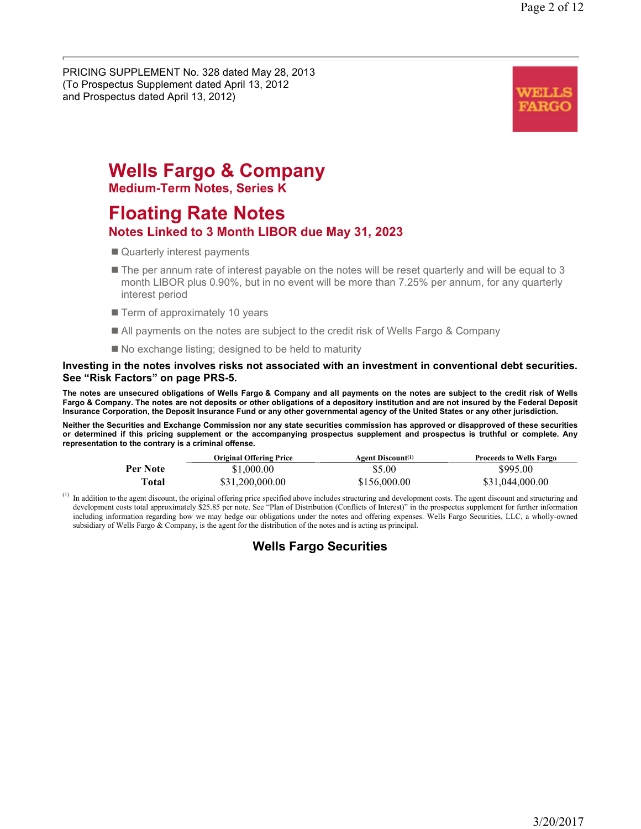PRICING SUPPLEMENT No. 328 dated May 28, 2013 (To Prospectus Supplement dated April 13, 2012 and Prospectus dated April 13, 2012)



# **Wells Fargo & Company**

**Medium-Term Notes, Series K**

# **Floating Rate Notes**

## **Notes Linked to 3 Month LIBOR due May 31, 2023**

- Quarterly interest payments
- $\blacksquare$  The per annum rate of interest payable on the notes will be reset quarterly and will be equal to 3 month LIBOR plus 0.90%, but in no event will be more than 7.25% per annum, for any quarterly interest period
- Term of approximately 10 years
- All payments on the notes are subject to the credit risk of Wells Fargo & Company
- $\blacksquare$  No exchange listing; designed to be held to maturity

#### **Investing in the notes involves risks not associated with an investment in conventional debt securities. See "Risk Factors" on page PRS-5.**

**The notes are unsecured obligations of Wells Fargo & Company and all payments on the notes are subject to the credit risk of Wells Fargo & Company. The notes are not deposits or other obligations of a depository institution and are not insured by the Federal Deposit Insurance Corporation, the Deposit Insurance Fund or any other governmental agency of the United States or any other jurisdiction.** 

**Neither the Securities and Exchange Commission nor any state securities commission has approved or disapproved of these securities or determined if this pricing supplement or the accompanying prospectus supplement and prospectus is truthful or complete. Any representation to the contrary is a criminal offense.** 

|          | <b>Original Offering Price</b> | <b>Agent Discount</b> <sup>(1)</sup> | <b>Proceeds to Wells Fargo</b> |
|----------|--------------------------------|--------------------------------------|--------------------------------|
| Per Note | \$1,000.00                     | \$5.00                               | \$995.00                       |
| Total    | \$31,200,000.00                | \$156,000.00                         | \$31,044,000.00                |

In addition to the agent discount, the original offering price specified above includes structuring and development costs. The agent discount and structuring and development costs total approximately \$25.85 per note. See "Plan of Distribution (Conflicts of Interest)" in the prospectus supplement for further information including information regarding how we may hedge our obligations under the notes and offering expenses. Wells Fargo Securities, LLC, a wholly-owned subsidiary of Wells Fargo & Company, is the agent for the distribution of the notes and is acting as principal. (1)

# **Wells Fargo Securities**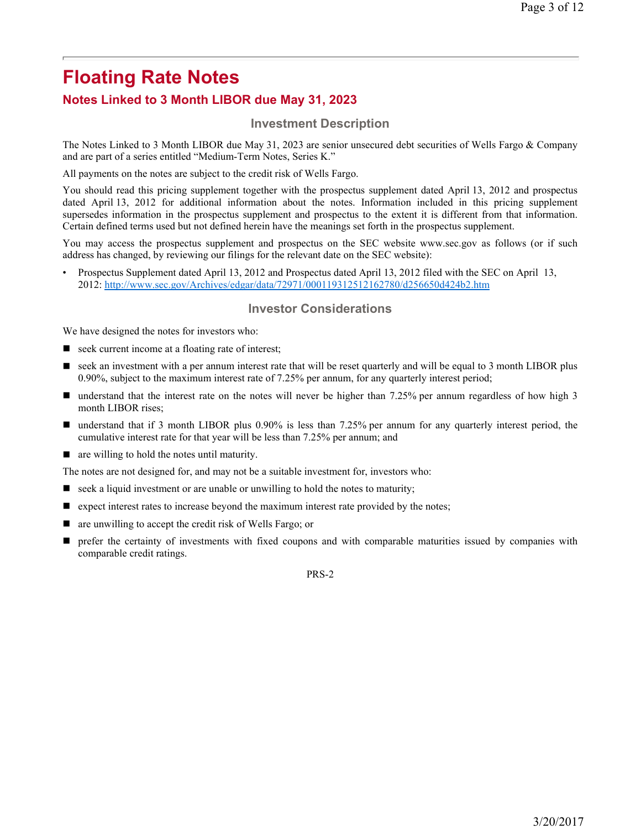## **Notes Linked to 3 Month LIBOR due May 31, 2023**

### **Investment Description**

The Notes Linked to 3 Month LIBOR due May 31, 2023 are senior unsecured debt securities of Wells Fargo & Company and are part of a series entitled "Medium-Term Notes, Series K."

All payments on the notes are subject to the credit risk of Wells Fargo.

You should read this pricing supplement together with the prospectus supplement dated April 13, 2012 and prospectus dated April 13, 2012 for additional information about the notes. Information included in this pricing supplement supersedes information in the prospectus supplement and prospectus to the extent it is different from that information. Certain defined terms used but not defined herein have the meanings set forth in the prospectus supplement.

You may access the prospectus supplement and prospectus on the SEC website www.sec.gov as follows (or if such address has changed, by reviewing our filings for the relevant date on the SEC website):

• Prospectus Supplement dated April 13, 2012 and Prospectus dated April 13, 2012 filed with the SEC on April 13, 2012: http://www.sec.gov/Archives/edgar/data/72971/000119312512162780/d256650d424b2.htm

#### **Investor Considerations**

We have designed the notes for investors who:

- seek current income at a floating rate of interest;
- seek an investment with a per annum interest rate that will be reset quarterly and will be equal to 3 month LIBOR plus 0.90%, subject to the maximum interest rate of 7.25% per annum, for any quarterly interest period;
- understand that the interest rate on the notes will never be higher than 7.25% per annum regardless of how high 3 month LIBOR rises;
- understand that if 3 month LIBOR plus 0.90% is less than 7.25% per annum for any quarterly interest period, the cumulative interest rate for that year will be less than 7.25% per annum; and
- are willing to hold the notes until maturity.

The notes are not designed for, and may not be a suitable investment for, investors who:

- seek a liquid investment or are unable or unwilling to hold the notes to maturity;
- $\blacksquare$  expect interest rates to increase beyond the maximum interest rate provided by the notes;
- are unwilling to accept the credit risk of Wells Fargo; or
- prefer the certainty of investments with fixed coupons and with comparable maturities issued by companies with comparable credit ratings.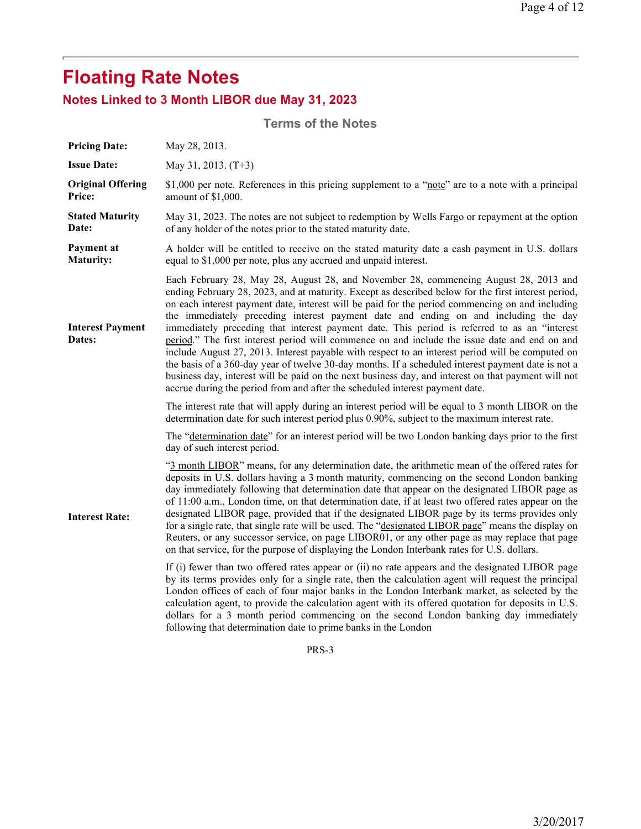# **Notes Linked to 3 Month LIBOR due May 31, 2023**

| <b>Terms of the Notes</b>                 |                                                                                                                                                                                                                                                                                                                                                                                                                                                                                                                                                                                                                                                                                                                                                                                                                                                                                                                                                                                                                                                                                                                                                                                                                                                                                                                                                                                                                                                                                                                                                                                                                                                                                                                                        |  |  |  |
|-------------------------------------------|----------------------------------------------------------------------------------------------------------------------------------------------------------------------------------------------------------------------------------------------------------------------------------------------------------------------------------------------------------------------------------------------------------------------------------------------------------------------------------------------------------------------------------------------------------------------------------------------------------------------------------------------------------------------------------------------------------------------------------------------------------------------------------------------------------------------------------------------------------------------------------------------------------------------------------------------------------------------------------------------------------------------------------------------------------------------------------------------------------------------------------------------------------------------------------------------------------------------------------------------------------------------------------------------------------------------------------------------------------------------------------------------------------------------------------------------------------------------------------------------------------------------------------------------------------------------------------------------------------------------------------------------------------------------------------------------------------------------------------------|--|--|--|
| <b>Pricing Date:</b>                      | May 28, 2013.                                                                                                                                                                                                                                                                                                                                                                                                                                                                                                                                                                                                                                                                                                                                                                                                                                                                                                                                                                                                                                                                                                                                                                                                                                                                                                                                                                                                                                                                                                                                                                                                                                                                                                                          |  |  |  |
| <b>Issue Date:</b>                        | May 31, 2013. (T+3)                                                                                                                                                                                                                                                                                                                                                                                                                                                                                                                                                                                                                                                                                                                                                                                                                                                                                                                                                                                                                                                                                                                                                                                                                                                                                                                                                                                                                                                                                                                                                                                                                                                                                                                    |  |  |  |
| <b>Original Offering</b><br><b>Price:</b> | \$1,000 per note. References in this pricing supplement to a "note" are to a note with a principal<br>amount of \$1,000.                                                                                                                                                                                                                                                                                                                                                                                                                                                                                                                                                                                                                                                                                                                                                                                                                                                                                                                                                                                                                                                                                                                                                                                                                                                                                                                                                                                                                                                                                                                                                                                                               |  |  |  |
| <b>Stated Maturity</b><br>Date:           | May 31, 2023. The notes are not subject to redemption by Wells Fargo or repayment at the option<br>of any holder of the notes prior to the stated maturity date.                                                                                                                                                                                                                                                                                                                                                                                                                                                                                                                                                                                                                                                                                                                                                                                                                                                                                                                                                                                                                                                                                                                                                                                                                                                                                                                                                                                                                                                                                                                                                                       |  |  |  |
| Payment at<br><b>Maturity:</b>            | A holder will be entitled to receive on the stated maturity date a cash payment in U.S. dollars<br>equal to \$1,000 per note, plus any accrued and unpaid interest.                                                                                                                                                                                                                                                                                                                                                                                                                                                                                                                                                                                                                                                                                                                                                                                                                                                                                                                                                                                                                                                                                                                                                                                                                                                                                                                                                                                                                                                                                                                                                                    |  |  |  |
| <b>Interest Payment</b><br>Dates:         | Each February 28, May 28, August 28, and November 28, commencing August 28, 2013 and<br>ending February 28, 2023, and at maturity. Except as described below for the first interest period,<br>on each interest payment date, interest will be paid for the period commencing on and including<br>the immediately preceding interest payment date and ending on and including the day<br>immediately preceding that interest payment date. This period is referred to as an "interest<br>period." The first interest period will commence on and include the issue date and end on and<br>include August 27, 2013. Interest payable with respect to an interest period will be computed on<br>the basis of a 360-day year of twelve 30-day months. If a scheduled interest payment date is not a<br>business day, interest will be paid on the next business day, and interest on that payment will not<br>accrue during the period from and after the scheduled interest payment date.                                                                                                                                                                                                                                                                                                                                                                                                                                                                                                                                                                                                                                                                                                                                                |  |  |  |
| <b>Interest Rate:</b>                     | The interest rate that will apply during an interest period will be equal to 3 month LIBOR on the<br>determination date for such interest period plus 0.90%, subject to the maximum interest rate.<br>The "determination date" for an interest period will be two London banking days prior to the first<br>day of such interest period.<br>"3 month LIBOR" means, for any determination date, the arithmetic mean of the offered rates for<br>deposits in U.S. dollars having a 3 month maturity, commencing on the second London banking<br>day immediately following that determination date that appear on the designated LIBOR page as<br>of 11:00 a.m., London time, on that determination date, if at least two offered rates appear on the<br>designated LIBOR page, provided that if the designated LIBOR page by its terms provides only<br>for a single rate, that single rate will be used. The "designated LIBOR page" means the display on<br>Reuters, or any successor service, on page LIBOR01, or any other page as may replace that page<br>on that service, for the purpose of displaying the London Interbank rates for U.S. dollars.<br>If (i) fewer than two offered rates appear or (ii) no rate appears and the designated LIBOR page<br>by its terms provides only for a single rate, then the calculation agent will request the principal<br>London offices of each of four major banks in the London Interbank market, as selected by the<br>calculation agent, to provide the calculation agent with its offered quotation for deposits in U.S.<br>dollars for a 3 month period commencing on the second London banking day immediately<br>following that determination date to prime banks in the London |  |  |  |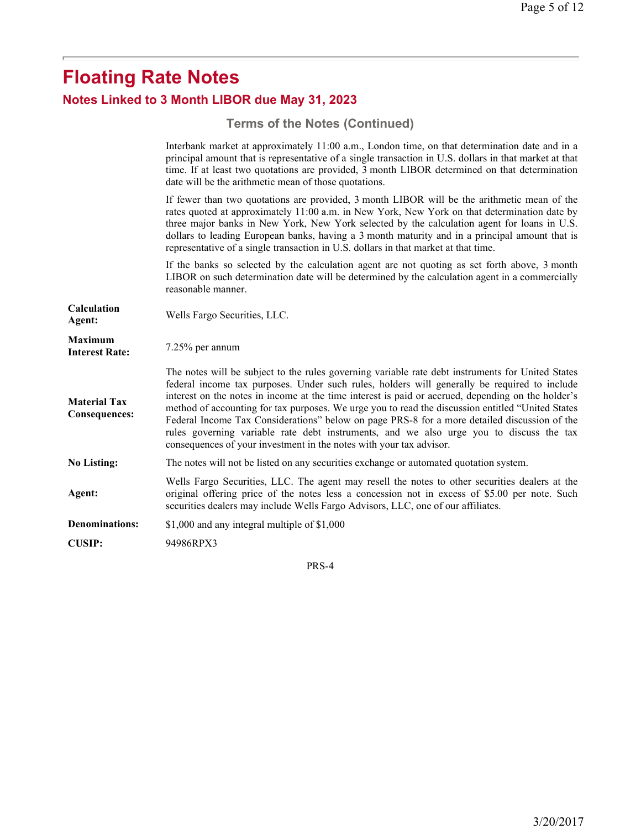# **Floating Rate Notes Notes Linked to 3 Month LIBOR due May 31, 2023**

# **Terms of the Notes (Continued)**

|                                             | Interbank market at approximately 11:00 a.m., London time, on that determination date and in a<br>principal amount that is representative of a single transaction in U.S. dollars in that market at that<br>time. If at least two quotations are provided, 3 month LIBOR determined on that determination<br>date will be the arithmetic mean of those quotations.                                                                                                                                                                                                                                                                                                              |
|---------------------------------------------|---------------------------------------------------------------------------------------------------------------------------------------------------------------------------------------------------------------------------------------------------------------------------------------------------------------------------------------------------------------------------------------------------------------------------------------------------------------------------------------------------------------------------------------------------------------------------------------------------------------------------------------------------------------------------------|
|                                             | If fewer than two quotations are provided, 3 month LIBOR will be the arithmetic mean of the<br>rates quoted at approximately 11:00 a.m. in New York, New York on that determination date by<br>three major banks in New York, New York selected by the calculation agent for loans in U.S.<br>dollars to leading European banks, having a 3 month maturity and in a principal amount that is<br>representative of a single transaction in U.S. dollars in that market at that time.                                                                                                                                                                                             |
|                                             | If the banks so selected by the calculation agent are not quoting as set forth above, 3 month<br>LIBOR on such determination date will be determined by the calculation agent in a commercially<br>reasonable manner.                                                                                                                                                                                                                                                                                                                                                                                                                                                           |
| Calculation<br>Agent:                       | Wells Fargo Securities, LLC.                                                                                                                                                                                                                                                                                                                                                                                                                                                                                                                                                                                                                                                    |
| <b>Maximum</b><br><b>Interest Rate:</b>     | 7.25% per annum                                                                                                                                                                                                                                                                                                                                                                                                                                                                                                                                                                                                                                                                 |
| <b>Material Tax</b><br><b>Consequences:</b> | The notes will be subject to the rules governing variable rate debt instruments for United States<br>federal income tax purposes. Under such rules, holders will generally be required to include<br>interest on the notes in income at the time interest is paid or accrued, depending on the holder's<br>method of accounting for tax purposes. We urge you to read the discussion entitled "United States"<br>Federal Income Tax Considerations" below on page PRS-8 for a more detailed discussion of the<br>rules governing variable rate debt instruments, and we also urge you to discuss the tax<br>consequences of your investment in the notes with your tax advisor. |
| <b>No Listing:</b>                          | The notes will not be listed on any securities exchange or automated quotation system.                                                                                                                                                                                                                                                                                                                                                                                                                                                                                                                                                                                          |
| Agent:                                      | Wells Fargo Securities, LLC. The agent may resell the notes to other securities dealers at the<br>original offering price of the notes less a concession not in excess of \$5.00 per note. Such<br>securities dealers may include Wells Fargo Advisors, LLC, one of our affiliates.                                                                                                                                                                                                                                                                                                                                                                                             |
| <b>Denominations:</b>                       | \$1,000 and any integral multiple of \$1,000                                                                                                                                                                                                                                                                                                                                                                                                                                                                                                                                                                                                                                    |
| <b>CUSIP:</b>                               | 94986RPX3                                                                                                                                                                                                                                                                                                                                                                                                                                                                                                                                                                                                                                                                       |
|                                             |                                                                                                                                                                                                                                                                                                                                                                                                                                                                                                                                                                                                                                                                                 |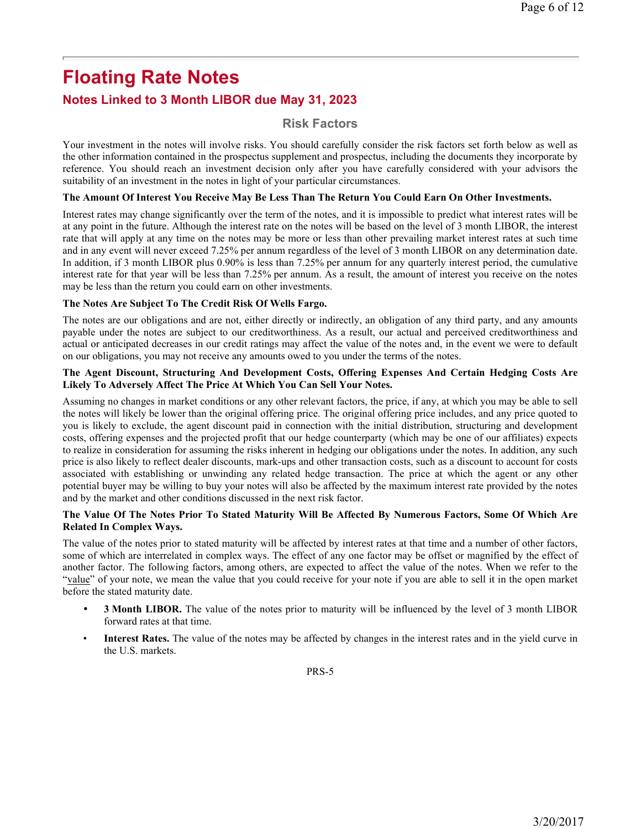## **Notes Linked to 3 Month LIBOR due May 31, 2023**

#### **Risk Factors**

Your investment in the notes will involve risks. You should carefully consider the risk factors set forth below as well as the other information contained in the prospectus supplement and prospectus, including the documents they incorporate by reference. You should reach an investment decision only after you have carefully considered with your advisors the suitability of an investment in the notes in light of your particular circumstances.

#### **The Amount Of Interest You Receive May Be Less Than The Return You Could Earn On Other Investments.**

Interest rates may change significantly over the term of the notes, and it is impossible to predict what interest rates will be at any point in the future. Although the interest rate on the notes will be based on the level of 3 month LIBOR, the interest rate that will apply at any time on the notes may be more or less than other prevailing market interest rates at such time and in any event will never exceed 7.25% per annum regardless of the level of 3 month LIBOR on any determination date. In addition, if 3 month LIBOR plus 0.90% is less than 7.25% per annum for any quarterly interest period, the cumulative interest rate for that year will be less than 7.25% per annum. As a result, the amount of interest you receive on the notes may be less than the return you could earn on other investments.

#### **The Notes Are Subject To The Credit Risk Of Wells Fargo.**

The notes are our obligations and are not, either directly or indirectly, an obligation of any third party, and any amounts payable under the notes are subject to our creditworthiness. As a result, our actual and perceived creditworthiness and actual or anticipated decreases in our credit ratings may affect the value of the notes and, in the event we were to default on our obligations, you may not receive any amounts owed to you under the terms of the notes.

#### **The Agent Discount, Structuring And Development Costs, Offering Expenses And Certain Hedging Costs Are Likely To Adversely Affect The Price At Which You Can Sell Your Notes.**

Assuming no changes in market conditions or any other relevant factors, the price, if any, at which you may be able to sell the notes will likely be lower than the original offering price. The original offering price includes, and any price quoted to you is likely to exclude, the agent discount paid in connection with the initial distribution, structuring and development costs, offering expenses and the projected profit that our hedge counterparty (which may be one of our affiliates) expects to realize in consideration for assuming the risks inherent in hedging our obligations under the notes. In addition, any such price is also likely to reflect dealer discounts, mark-ups and other transaction costs, such as a discount to account for costs associated with establishing or unwinding any related hedge transaction. The price at which the agent or any other potential buyer may be willing to buy your notes will also be affected by the maximum interest rate provided by the notes and by the market and other conditions discussed in the next risk factor.

#### **The Value Of The Notes Prior To Stated Maturity Will Be Affected By Numerous Factors, Some Of Which Are Related In Complex Ways.**

The value of the notes prior to stated maturity will be affected by interest rates at that time and a number of other factors, some of which are interrelated in complex ways. The effect of any one factor may be offset or magnified by the effect of another factor. The following factors, among others, are expected to affect the value of the notes. When we refer to the "value" of your note, we mean the value that you could receive for your note if you are able to sell it in the open market before the stated maturity date.

- -**3 Month LIBOR.** The value of the notes prior to maturity will be influenced by the level of 3 month LIBOR forward rates at that time.
- **Interest Rates.** The value of the notes may be affected by changes in the interest rates and in the yield curve in the U.S. markets.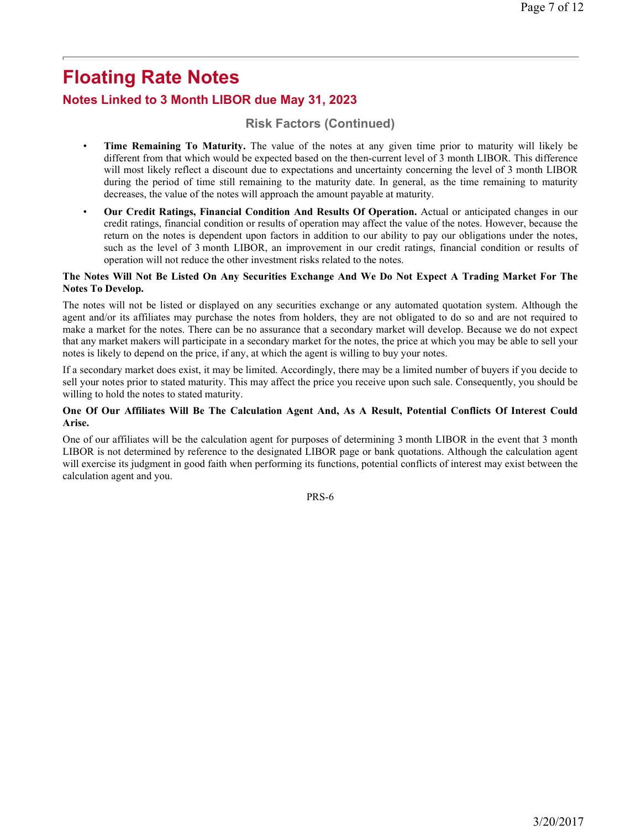## **Notes Linked to 3 Month LIBOR due May 31, 2023**

## **Risk Factors (Continued)**

- **Time Remaining To Maturity.** The value of the notes at any given time prior to maturity will likely be different from that which would be expected based on the then-current level of 3 month LIBOR. This difference will most likely reflect a discount due to expectations and uncertainty concerning the level of 3 month LIBOR during the period of time still remaining to the maturity date. In general, as the time remaining to maturity decreases, the value of the notes will approach the amount payable at maturity.
- **Our Credit Ratings, Financial Condition And Results Of Operation.** Actual or anticipated changes in our credit ratings, financial condition or results of operation may affect the value of the notes. However, because the return on the notes is dependent upon factors in addition to our ability to pay our obligations under the notes, such as the level of 3 month LIBOR, an improvement in our credit ratings, financial condition or results of operation will not reduce the other investment risks related to the notes.

#### **The Notes Will Not Be Listed On Any Securities Exchange And We Do Not Expect A Trading Market For The Notes To Develop.**

The notes will not be listed or displayed on any securities exchange or any automated quotation system. Although the agent and/or its affiliates may purchase the notes from holders, they are not obligated to do so and are not required to make a market for the notes. There can be no assurance that a secondary market will develop. Because we do not expect that any market makers will participate in a secondary market for the notes, the price at which you may be able to sell your notes is likely to depend on the price, if any, at which the agent is willing to buy your notes.

If a secondary market does exist, it may be limited. Accordingly, there may be a limited number of buyers if you decide to sell your notes prior to stated maturity. This may affect the price you receive upon such sale. Consequently, you should be willing to hold the notes to stated maturity.

#### **One Of Our Affiliates Will Be The Calculation Agent And, As A Result, Potential Conflicts Of Interest Could Arise.**

One of our affiliates will be the calculation agent for purposes of determining 3 month LIBOR in the event that 3 month LIBOR is not determined by reference to the designated LIBOR page or bank quotations. Although the calculation agent will exercise its judgment in good faith when performing its functions, potential conflicts of interest may exist between the calculation agent and you.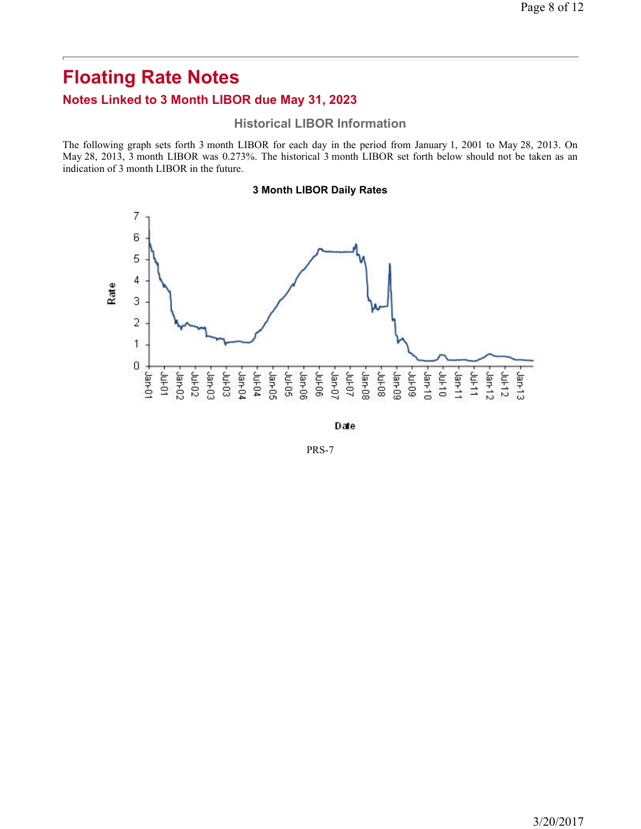## **Notes Linked to 3 Month LIBOR due May 31, 2023**

#### **Historical LIBOR Information**

The following graph sets forth 3 month LIBOR for each day in the period from January 1, 2001 to May 28, 2013. On May 28, 2013, 3 month LIBOR was 0.273%. The historical 3 month LIBOR set forth below should not be taken as an indication of 3 month LIBOR in the future.

#### **3 Month LIBOR Daily Rates**



Date

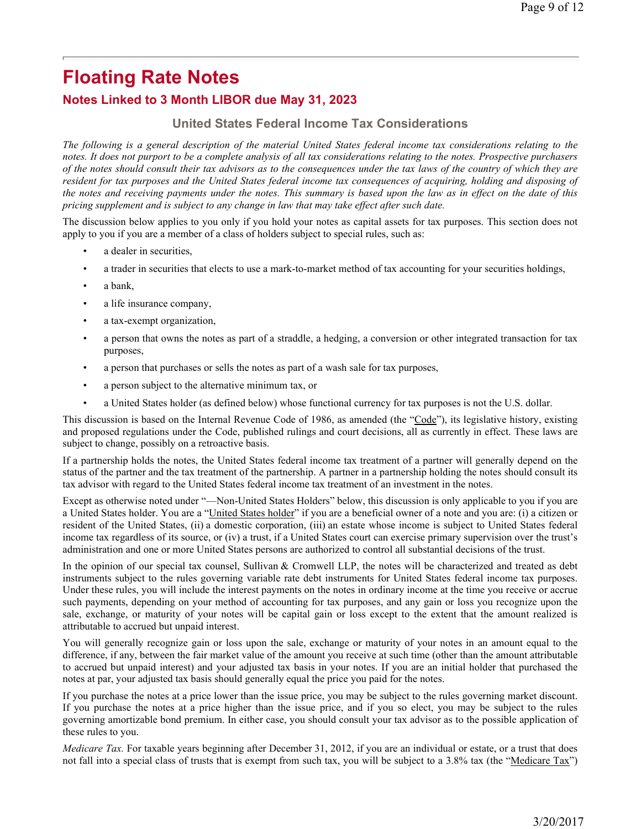## **Notes Linked to 3 Month LIBOR due May 31, 2023**

## **United States Federal Income Tax Considerations**

*The following is a general description of the material United States federal income tax considerations relating to the notes. It does not purport to be a complete analysis of all tax considerations relating to the notes. Prospective purchasers of the notes should consult their tax advisors as to the consequences under the tax laws of the country of which they are resident for tax purposes and the United States federal income tax consequences of acquiring, holding and disposing of the notes and receiving payments under the notes. This summary is based upon the law as in effect on the date of this pricing supplement and is subject to any change in law that may take effect after such date.* 

The discussion below applies to you only if you hold your notes as capital assets for tax purposes. This section does not apply to you if you are a member of a class of holders subject to special rules, such as:

- a dealer in securities,
- a trader in securities that elects to use a mark-to-market method of tax accounting for your securities holdings,
- a bank,
- a life insurance company,
- a tax-exempt organization,
- a person that owns the notes as part of a straddle, a hedging, a conversion or other integrated transaction for tax purposes,
- a person that purchases or sells the notes as part of a wash sale for tax purposes,
- a person subject to the alternative minimum tax, or
- a United States holder (as defined below) whose functional currency for tax purposes is not the U.S. dollar.

This discussion is based on the Internal Revenue Code of 1986, as amended (the "Code"), its legislative history, existing and proposed regulations under the Code, published rulings and court decisions, all as currently in effect. These laws are subject to change, possibly on a retroactive basis.

If a partnership holds the notes, the United States federal income tax treatment of a partner will generally depend on the status of the partner and the tax treatment of the partnership. A partner in a partnership holding the notes should consult its tax advisor with regard to the United States federal income tax treatment of an investment in the notes.

Except as otherwise noted under "—Non-United States Holders" below, this discussion is only applicable to you if you are a United States holder. You are a "United States holder" if you are a beneficial owner of a note and you are: (i) a citizen or resident of the United States, (ii) a domestic corporation, (iii) an estate whose income is subject to United States federal income tax regardless of its source, or (iv) a trust, if a United States court can exercise primary supervision over the trust's administration and one or more United States persons are authorized to control all substantial decisions of the trust.

In the opinion of our special tax counsel, Sullivan & Cromwell LLP, the notes will be characterized and treated as debt instruments subject to the rules governing variable rate debt instruments for United States federal income tax purposes. Under these rules, you will include the interest payments on the notes in ordinary income at the time you receive or accrue such payments, depending on your method of accounting for tax purposes, and any gain or loss you recognize upon the sale, exchange, or maturity of your notes will be capital gain or loss except to the extent that the amount realized is attributable to accrued but unpaid interest.

You will generally recognize gain or loss upon the sale, exchange or maturity of your notes in an amount equal to the difference, if any, between the fair market value of the amount you receive at such time (other than the amount attributable to accrued but unpaid interest) and your adjusted tax basis in your notes. If you are an initial holder that purchased the notes at par, your adjusted tax basis should generally equal the price you paid for the notes.

If you purchase the notes at a price lower than the issue price, you may be subject to the rules governing market discount. If you purchase the notes at a price higher than the issue price, and if you so elect, you may be subject to the rules governing amortizable bond premium. In either case, you should consult your tax advisor as to the possible application of these rules to you.

*Medicare Tax.* For taxable years beginning after December 31, 2012, if you are an individual or estate, or a trust that does not fall into a special class of trusts that is exempt from such tax, you will be subject to a 3.8% tax (the "Medicare Tax")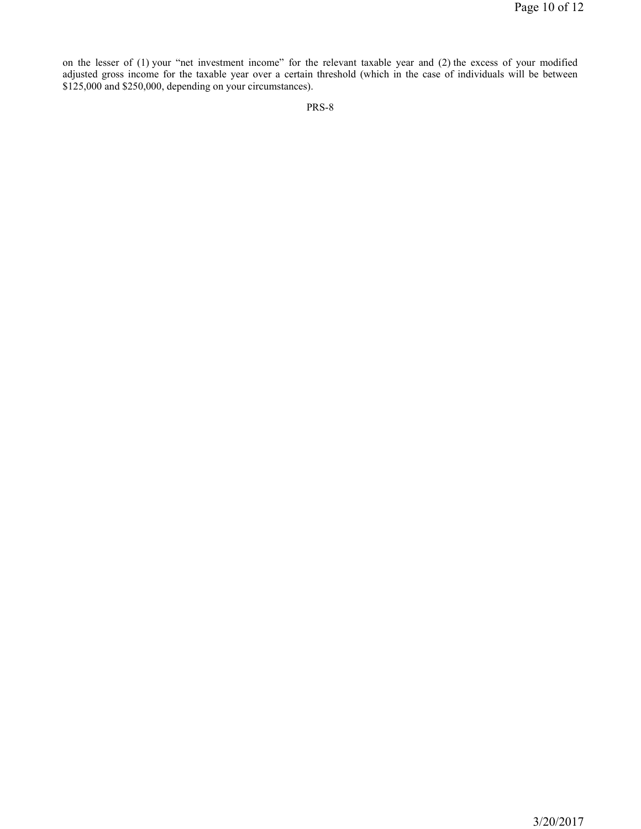on the lesser of (1) your "net investment income" for the relevant taxable year and (2) the excess of your modified adjusted gross income for the taxable year over a certain threshold (which in the case of individuals will be between \$125,000 and \$250,000, depending on your circumstances).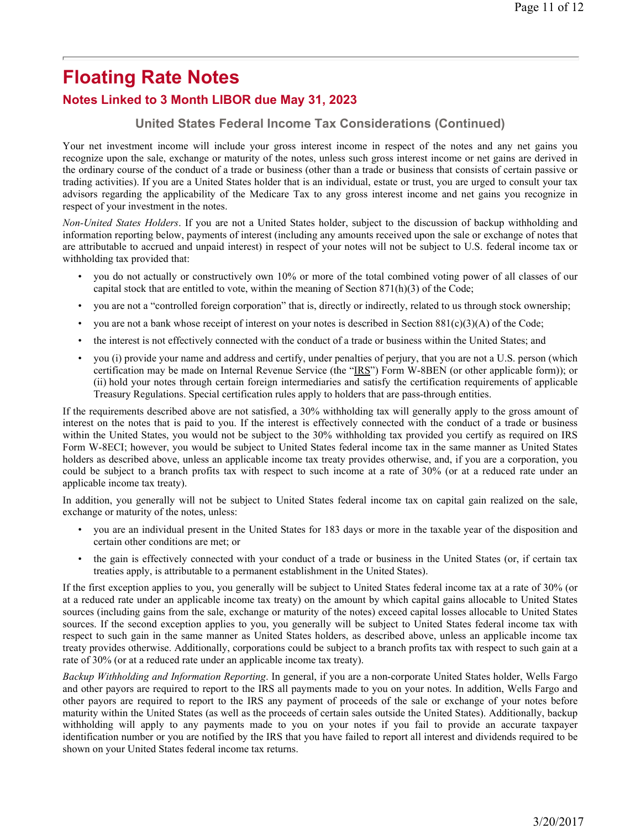## **Notes Linked to 3 Month LIBOR due May 31, 2023**

### **United States Federal Income Tax Considerations (Continued)**

Your net investment income will include your gross interest income in respect of the notes and any net gains you recognize upon the sale, exchange or maturity of the notes, unless such gross interest income or net gains are derived in the ordinary course of the conduct of a trade or business (other than a trade or business that consists of certain passive or trading activities). If you are a United States holder that is an individual, estate or trust, you are urged to consult your tax advisors regarding the applicability of the Medicare Tax to any gross interest income and net gains you recognize in respect of your investment in the notes.

*Non-United States Holders*. If you are not a United States holder, subject to the discussion of backup withholding and information reporting below, payments of interest (including any amounts received upon the sale or exchange of notes that are attributable to accrued and unpaid interest) in respect of your notes will not be subject to U.S. federal income tax or withholding tax provided that:

- you do not actually or constructively own 10% or more of the total combined voting power of all classes of our capital stock that are entitled to vote, within the meaning of Section  $871(h)(3)$  of the Code;
- you are not a "controlled foreign corporation" that is, directly or indirectly, related to us through stock ownership;
- you are not a bank whose receipt of interest on your notes is described in Section  $881(c)(3)(A)$  of the Code;
- the interest is not effectively connected with the conduct of a trade or business within the United States; and
- you (i) provide your name and address and certify, under penalties of perjury, that you are not a U.S. person (which certification may be made on Internal Revenue Service (the "IRS") Form W-8BEN (or other applicable form)); or (ii) hold your notes through certain foreign intermediaries and satisfy the certification requirements of applicable Treasury Regulations. Special certification rules apply to holders that are pass-through entities.

If the requirements described above are not satisfied, a 30% withholding tax will generally apply to the gross amount of interest on the notes that is paid to you. If the interest is effectively connected with the conduct of a trade or business within the United States, you would not be subject to the 30% withholding tax provided you certify as required on IRS Form W-8ECI; however, you would be subject to United States federal income tax in the same manner as United States holders as described above, unless an applicable income tax treaty provides otherwise, and, if you are a corporation, you could be subject to a branch profits tax with respect to such income at a rate of 30% (or at a reduced rate under an applicable income tax treaty).

In addition, you generally will not be subject to United States federal income tax on capital gain realized on the sale, exchange or maturity of the notes, unless:

- you are an individual present in the United States for 183 days or more in the taxable year of the disposition and certain other conditions are met; or
- the gain is effectively connected with your conduct of a trade or business in the United States (or, if certain tax treaties apply, is attributable to a permanent establishment in the United States).

If the first exception applies to you, you generally will be subject to United States federal income tax at a rate of 30% (or at a reduced rate under an applicable income tax treaty) on the amount by which capital gains allocable to United States sources (including gains from the sale, exchange or maturity of the notes) exceed capital losses allocable to United States sources. If the second exception applies to you, you generally will be subject to United States federal income tax with respect to such gain in the same manner as United States holders, as described above, unless an applicable income tax treaty provides otherwise. Additionally, corporations could be subject to a branch profits tax with respect to such gain at a rate of 30% (or at a reduced rate under an applicable income tax treaty).

*Backup Withholding and Information Reporting*. In general, if you are a non-corporate United States holder, Wells Fargo and other payors are required to report to the IRS all payments made to you on your notes. In addition, Wells Fargo and other payors are required to report to the IRS any payment of proceeds of the sale or exchange of your notes before maturity within the United States (as well as the proceeds of certain sales outside the United States). Additionally, backup withholding will apply to any payments made to you on your notes if you fail to provide an accurate taxpayer identification number or you are notified by the IRS that you have failed to report all interest and dividends required to be shown on your United States federal income tax returns.